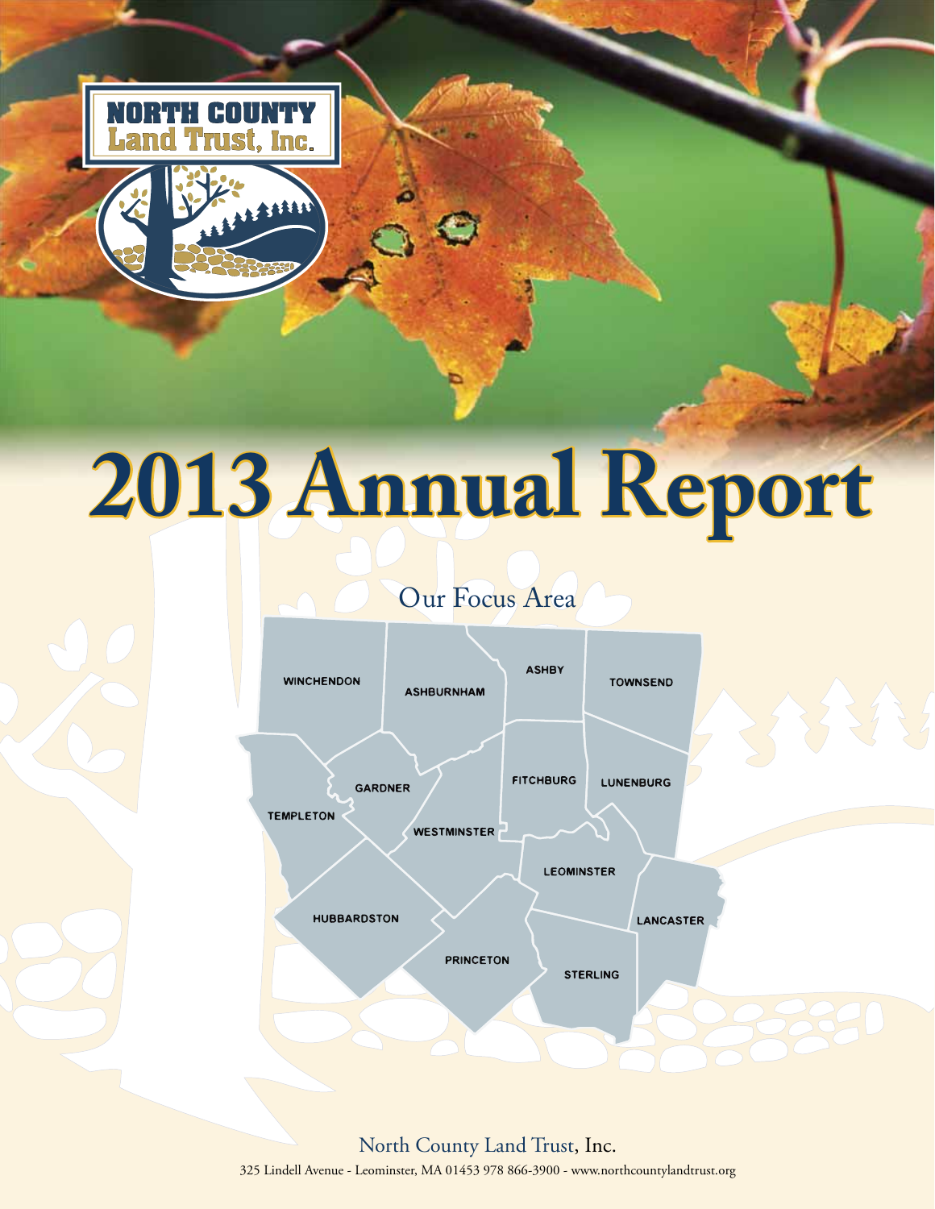

# **2013 Annual Report 013**

# Our Focus Area



North County Land Trust, Inc. 325 Lindell Avenue - Leominster, MA 01453 978 866-3900 - www.northcountylandtrust.org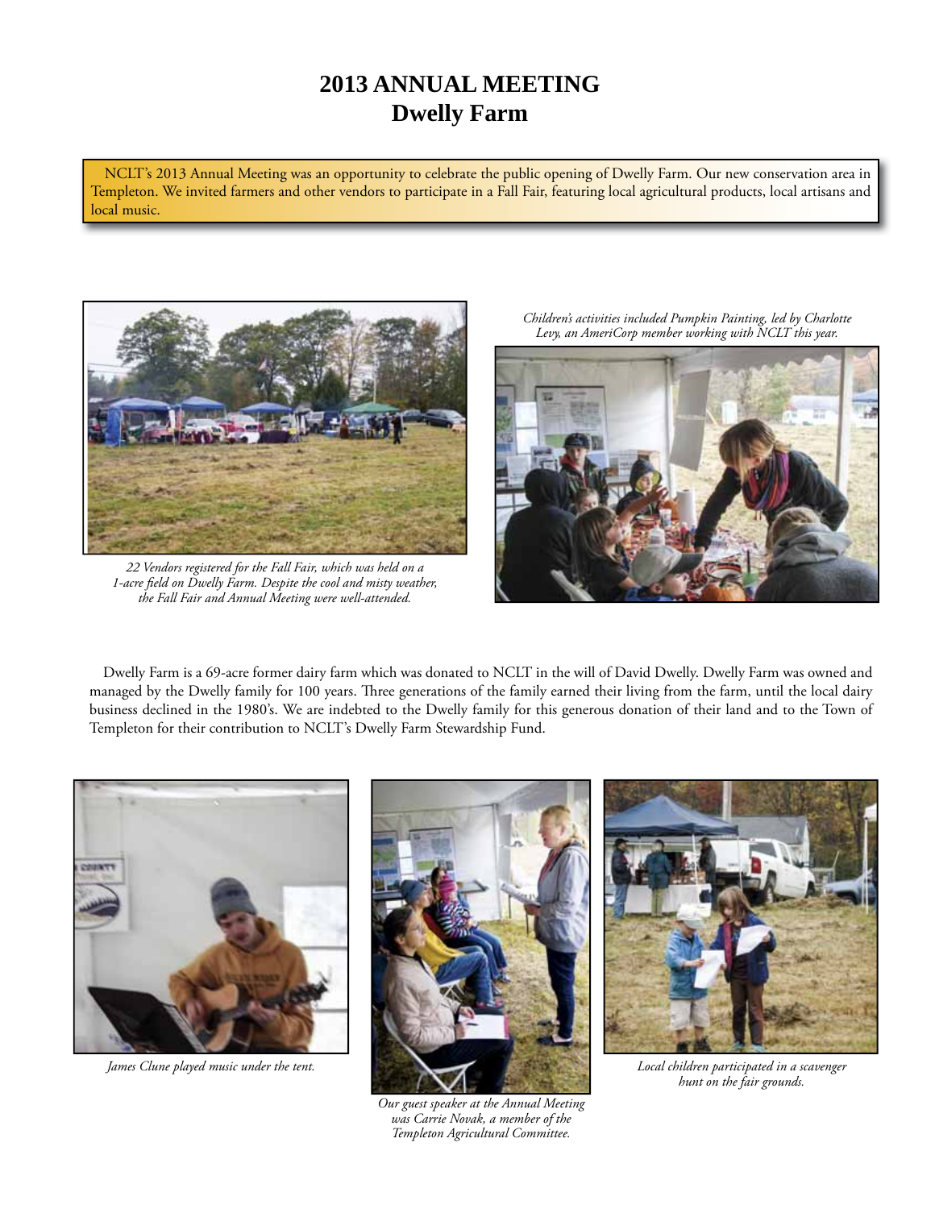# **2013 ANNUAL MEETING Dwelly Farm**

NCLT's 2013 Annual Meeting was an opportunity to celebrate the public opening of Dwelly Farm. Our new conservation area in Templeton. We invited farmers and other vendors to participate in a Fall Fair, featuring local agricultural products, local artisans and local music.



*22 Vendors registered for the Fall Fair, which was held on a 1-acre field on Dwelly Farm. Despite the cool and misty weather, the Fall Fair and Annual Meeting were well-attended.*

*Children's activities included Pumpkin Painting, led by Charlotte Levy, an AmeriCorp member working with NCLT this year.*



Dwelly Farm is a 69-acre former dairy farm which was donated to NCLT in the will of David Dwelly. Dwelly Farm was owned and managed by the Dwelly family for 100 years. Three generations of the family earned their living from the farm, until the local dairy business declined in the 1980's. We are indebted to the Dwelly family for this generous donation of their land and to the Town of Templeton for their contribution to NCLT's Dwelly Farm Stewardship Fund.



*James Clune played music under the tent.*



*Our guest speaker at the Annual Meeting was Carrie Novak, a member of the Templeton Agricultural Committee.* 



*Local children participated in a scavenger hunt on the fair grounds.*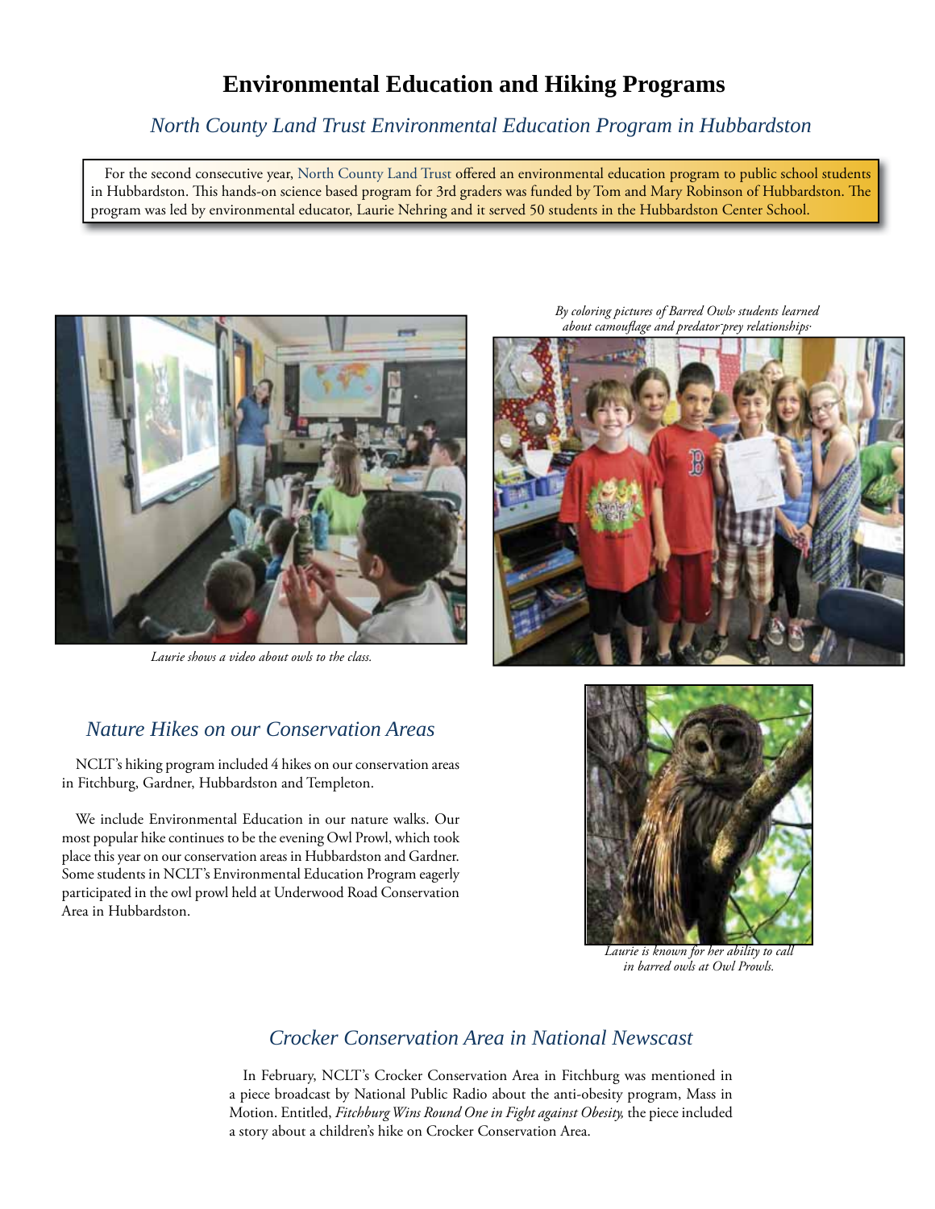# **Environmental Education and Hiking Programs**

## *North County Land Trust Environmental Education Program in Hubbardston*

For the second consecutive year, North County Land Trust offered an environmental education program to public school students in Hubbardston. This hands-on science based program for 3rd graders was funded by Tom and Mary Robinson of Hubbardston. The program was led by environmental educator, Laurie Nehring and it served 50 students in the Hubbardston Center School.



*Laurie shows a video about owls to the class.*

## *Nature Hikes on our Conservation Areas*

NCLT's hiking program included 4 hikes on our conservation areas in Fitchburg, Gardner, Hubbardston and Templeton.

We include Environmental Education in our nature walks. Our most popular hike continues to be the evening Owl Prowl, which took place this year on our conservation areas in Hubbardston and Gardner. Some students in NCLT's Environmental Education Program eagerly participated in the owl prowl held at Underwood Road Conservation Area in Hubbardston.

*By coloring pictures of Barred Owls, students learned about camoufl age and predator-prey relationships.*





*Laurie is known for her ability to call in barred owls at Owl Prowls.*

## *Crocker Conservation Area in National Newscast*

In February, NCLT's Crocker Conservation Area in Fitchburg was mentioned in a piece broadcast by National Public Radio about the anti-obesity program, Mass in Motion. Entitled, *Fitchburg Wins Round One in Fight against Obesity,* the piece included a story about a children's hike on Crocker Conservation Area.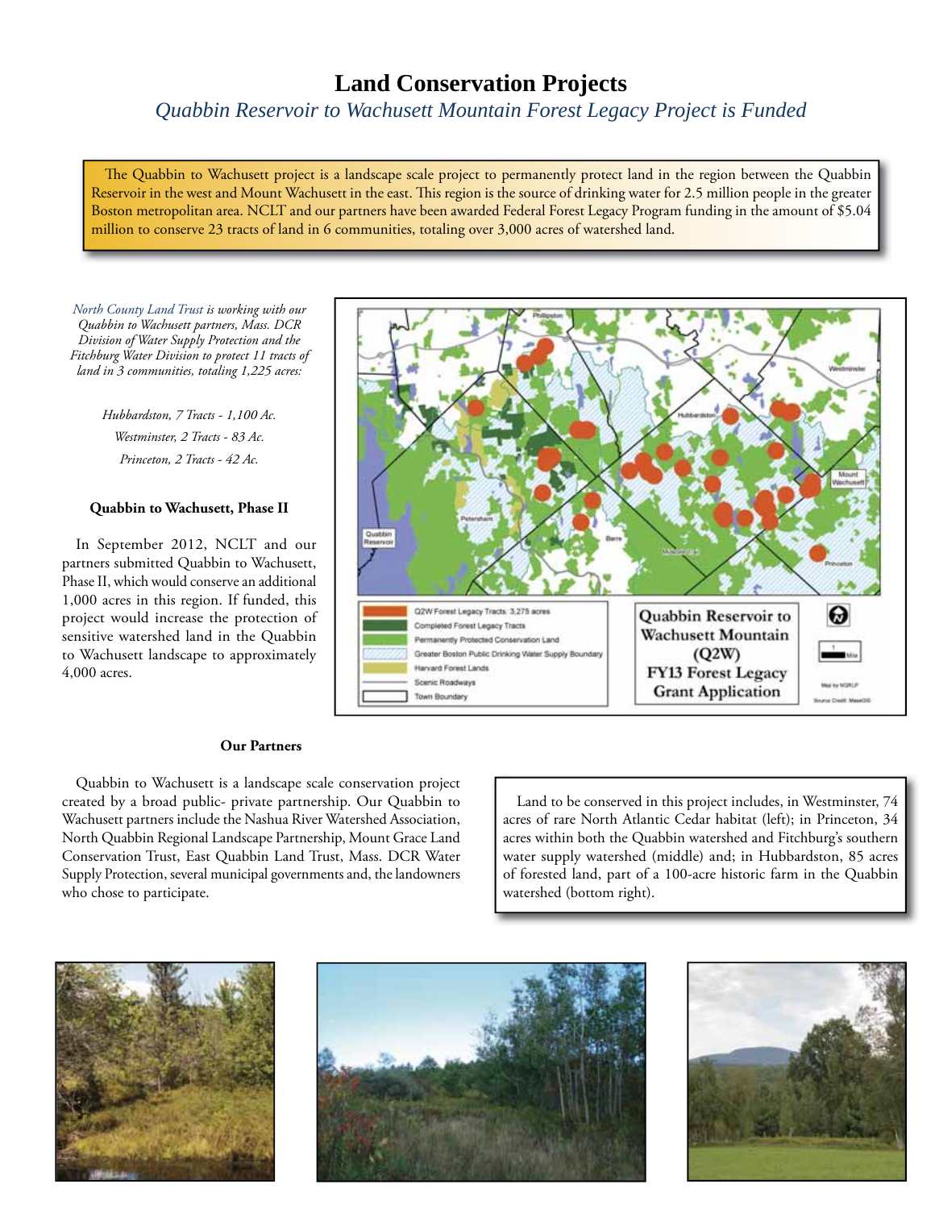# **Land Conservation Projects**

*Quabbin Reservoir to Wachusett Mountain Forest Legacy Project is Funded*

The Quabbin to Wachusett project is a landscape scale project to permanently protect land in the region between the Quabbin Reservoir in the west and Mount Wachusett in the east. This region is the source of drinking water for 2.5 million people in the greater Boston metropolitan area. NCLT and our partners have been awarded Federal Forest Legacy Program funding in the amount of \$5.04 million to conserve 23 tracts of land in 6 communities, totaling over 3,000 acres of watershed land.

*North County Land Trust is working with our Quabbin to Wachusett partners, Mass. DCR Division of Water Supply Protection and the Fitchburg Water Division to protect 11 tracts of land in 3 communities, totaling 1,225 acres:* 

> *Hubbardston, 7 Tracts - 1,100 Ac. Westminster, 2 Tracts - 83 Ac. Princeton, 2 Tracts - 42 Ac.*

#### **Quabbin to Wachusett, Phase II**

In September 2012, NCLT and our partners submitted Quabbin to Wachusett, Phase II, which would conserve an additional 1,000 acres in this region. If funded, this project would increase the protection of sensitive watershed land in the Quabbin to Wachusett landscape to approximately 4,000 acres.



#### **Our Partners**

Quabbin to Wachusett is a landscape scale conservation project created by a broad public- private partnership. Our Quabbin to Wachusett partners include the Nashua River Watershed Association, North Quabbin Regional Landscape Partnership, Mount Grace Land Conservation Trust, East Quabbin Land Trust, Mass. DCR Water Supply Protection, several municipal governments and, the landowners who chose to participate.

Land to be conserved in this project includes, in Westminster, 74 acres of rare North Atlantic Cedar habitat (left); in Princeton, 34 acres within both the Quabbin watershed and Fitchburg's southern water supply watershed (middle) and; in Hubbardston, 85 acres of forested land, part of a 100-acre historic farm in the Quabbin watershed (bottom right).





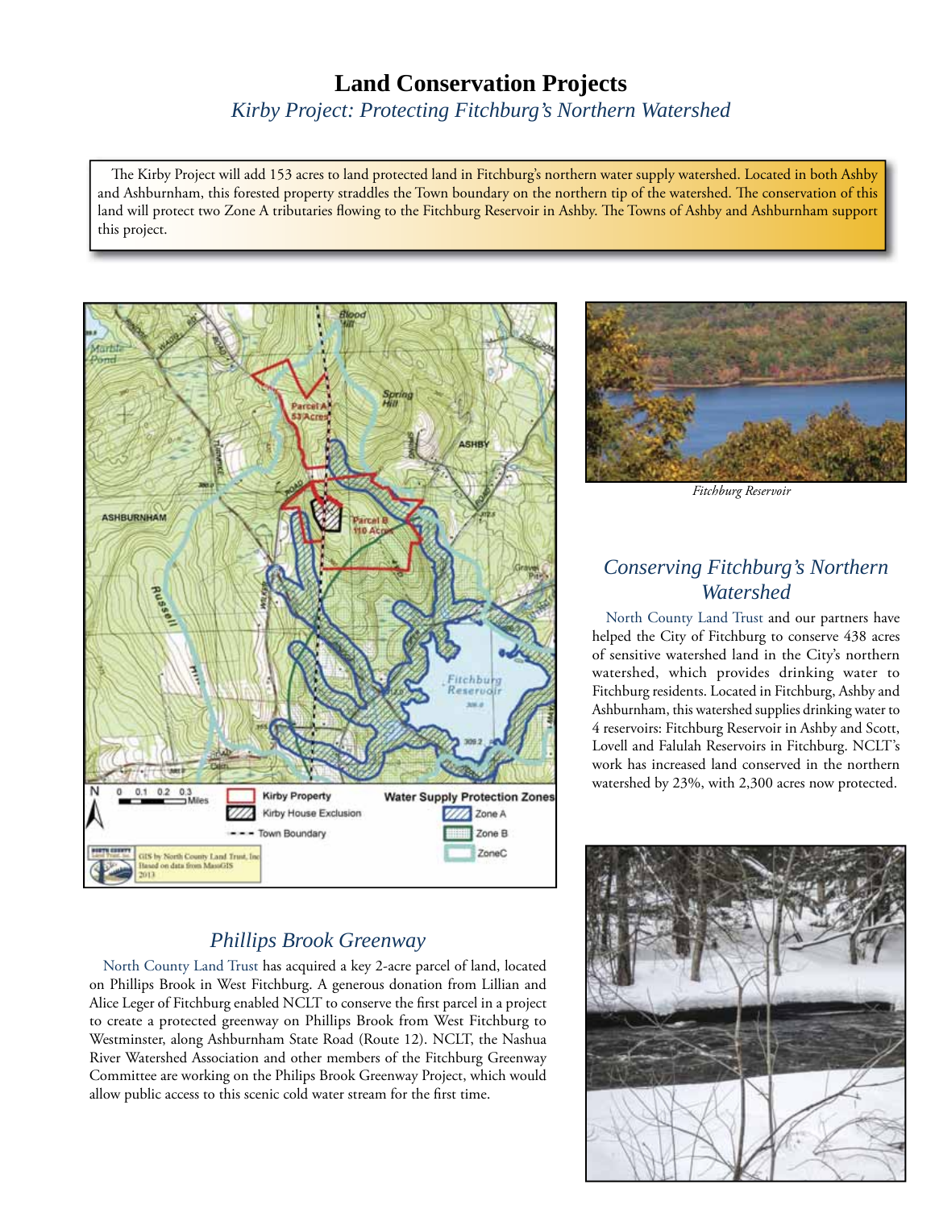# **Land Conservation Projects**

*Kirby Project: Protecting Fitchburg's Northern Watershed*

The Kirby Project will add 153 acres to land protected land in Fitchburg's northern water supply watershed. Located in both Ashby and Ashburnham, this forested property straddles the Town boundary on the northern tip of the watershed. The conservation of this land will protect two Zone A tributaries flowing to the Fitchburg Reservoir in Ashby. The Towns of Ashby and Ashburnham support this project.



## *Phillips Brook Greenway*

North County Land Trust has acquired a key 2-acre parcel of land, located on Phillips Brook in West Fitchburg. A generous donation from Lillian and Alice Leger of Fitchburg enabled NCLT to conserve the first parcel in a project to create a protected greenway on Phillips Brook from West Fitchburg to Westminster, along Ashburnham State Road (Route 12). NCLT, the Nashua River Watershed Association and other members of the Fitchburg Greenway Committee are working on the Philips Brook Greenway Project, which would allow public access to this scenic cold water stream for the first time.



*Fitchburg Reservoir*

# *Conserving Fitchburg's Northern Watershed*

North County Land Trust and our partners have helped the City of Fitchburg to conserve 438 acres of sensitive watershed land in the City's northern watershed, which provides drinking water to Fitchburg residents. Located in Fitchburg, Ashby and Ashburnham, this watershed supplies drinking water to 4 reservoirs: Fitchburg Reservoir in Ashby and Scott, Lovell and Falulah Reservoirs in Fitchburg. NCLT's work has increased land conserved in the northern watershed by 23%, with 2,300 acres now protected.

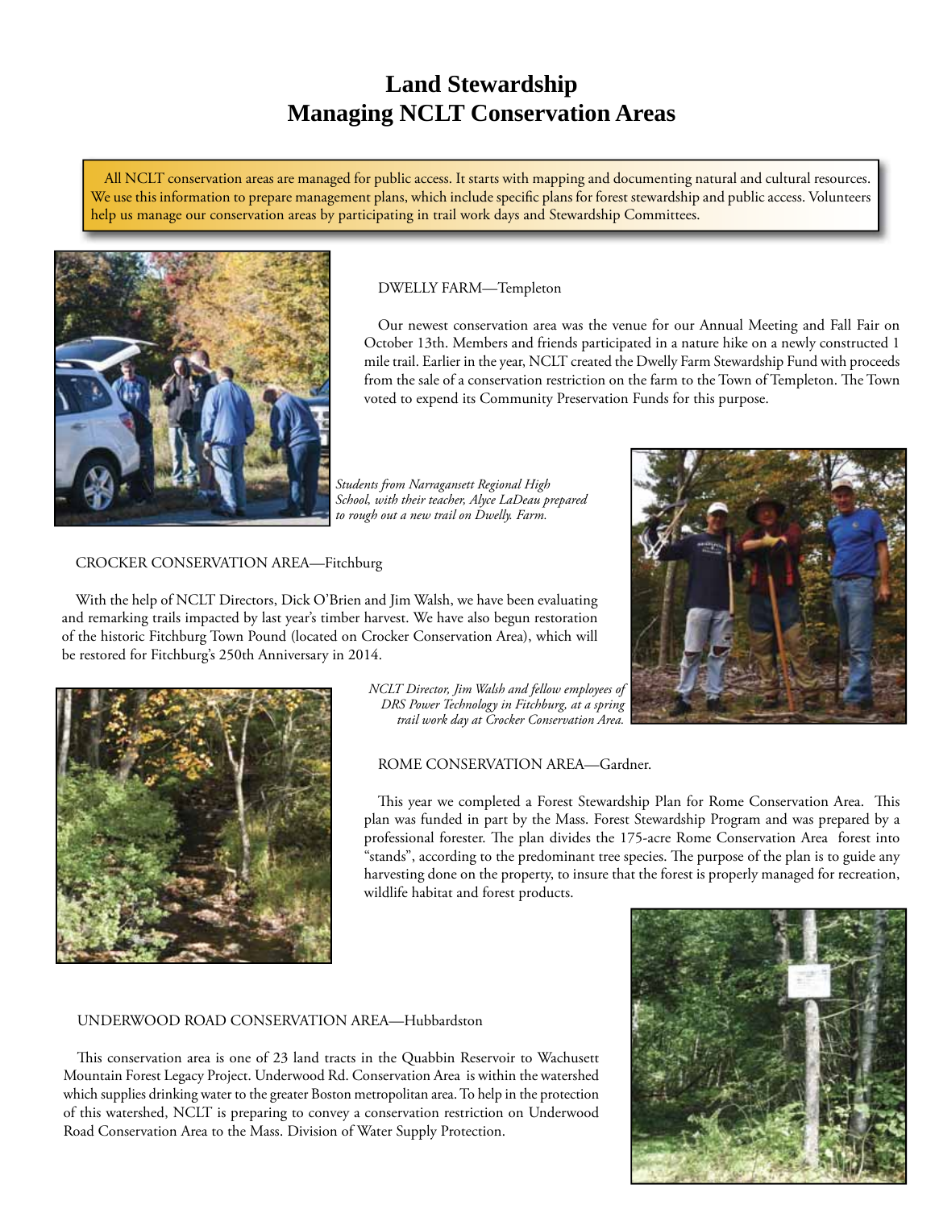# **Land Stewardship Managing NCLT Conservation Areas**

All NCLT conservation areas are managed for public access. It starts with mapping and documenting natural and cultural resources. We use this information to prepare management plans, which include specific plans for forest stewardship and public access. Volunteers help us manage our conservation areas by participating in trail work days and Stewardship Committees.



#### DWELLY FARM—Templeton

Our newest conservation area was the venue for our Annual Meeting and Fall Fair on October 13th. Members and friends participated in a nature hike on a newly constructed 1 mile trail. Earlier in the year, NCLT created the Dwelly Farm Stewardship Fund with proceeds from the sale of a conservation restriction on the farm to the Town of Templeton. The Town voted to expend its Community Preservation Funds for this purpose.

*Students from Narragansett Regional High School, with their teacher, Alyce LaDeau prepared to rough out a new trail on Dwelly. Farm.*

#### CROCKER CONSERVATION AREA—Fitchburg

With the help of NCLT Directors, Dick O'Brien and Jim Walsh, we have been evaluating and remarking trails impacted by last year's timber harvest. We have also begun restoration of the historic Fitchburg Town Pound (located on Crocker Conservation Area), which will be restored for Fitchburg's 250th Anniversary in 2014.





*NCLT Director, Jim Walsh and fellow employees of DRS Power Technology in Fitchburg, at a spring trail work day at Crocker Conservation Area.*

ROME CONSERVATION AREA—Gardner.

This year we completed a Forest Stewardship Plan for Rome Conservation Area. This plan was funded in part by the Mass. Forest Stewardship Program and was prepared by a professional forester. The plan divides the 175-acre Rome Conservation Area forest into "stands", according to the predominant tree species. The purpose of the plan is to guide any harvesting done on the property, to insure that the forest is properly managed for recreation, wildlife habitat and forest products.

#### UNDERWOOD ROAD CONSERVATION AREA—Hubbardston

This conservation area is one of 23 land tracts in the Quabbin Reservoir to Wachusett Mountain Forest Legacy Project. Underwood Rd. Conservation Area is within the watershed which supplies drinking water to the greater Boston metropolitan area. To help in the protection of this watershed, NCLT is preparing to convey a conservation restriction on Underwood Road Conservation Area to the Mass. Division of Water Supply Protection.

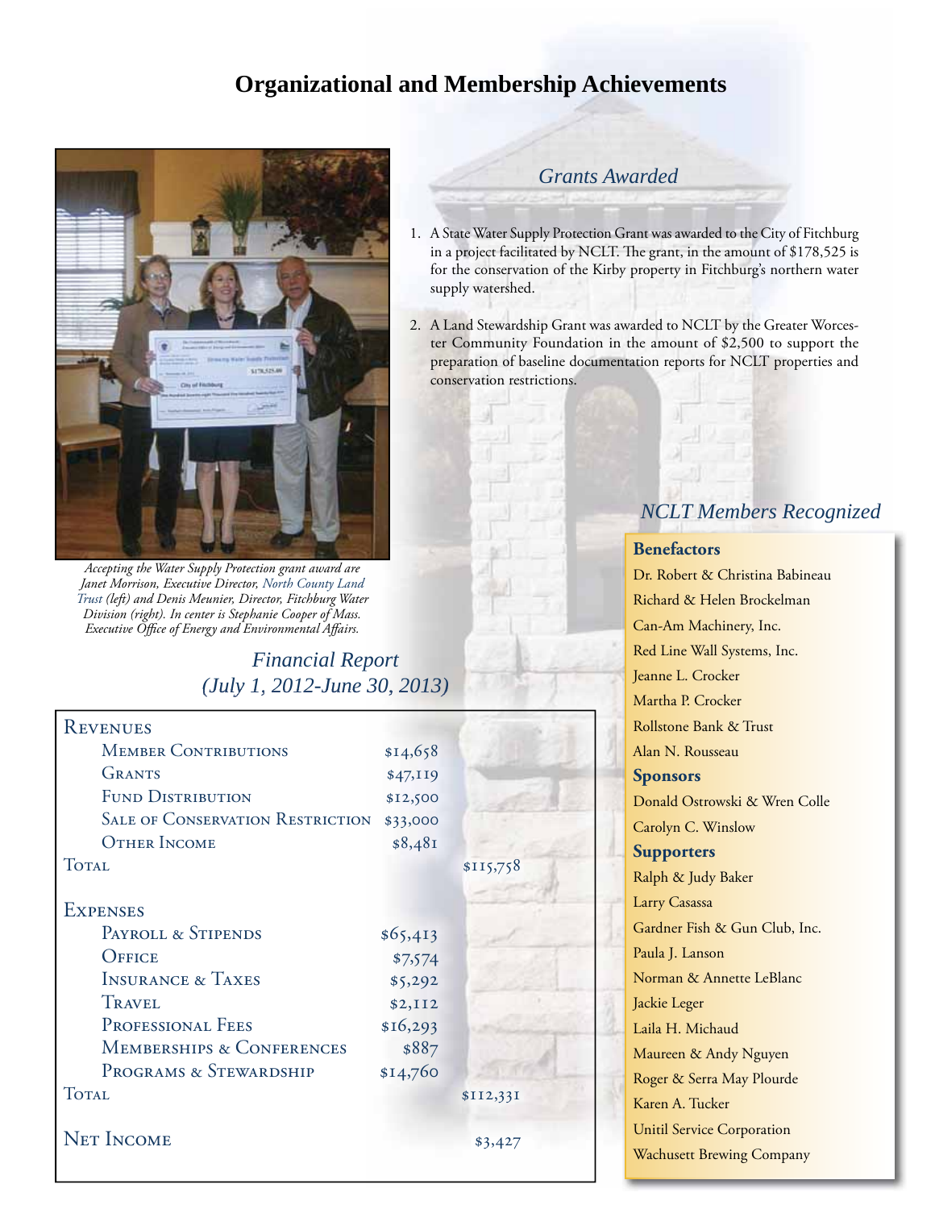# **Organizational and Membership Achievements**



*Accepting the Water Supply Protection grant award are Janet Morrison, Executive Director, North County Land Trust (left) and Denis Meunier, Director, Fitchburg Water Division (right). In center is Stephanie Cooper of Mass. Executive Office of Energy and Environmental Affairs.* 

## *Financial Report (July 1, 2012-June 30, 2013) (July 1, 2012 June 30,*

| <b>REVENUES</b>                         |          |           |
|-----------------------------------------|----------|-----------|
| <b>MEMBER CONTRIBUTIONS</b>             | \$14,658 |           |
| <b>GRANTS</b>                           | \$47,119 |           |
| <b>FUND DISTRIBUTION</b>                | \$12,500 |           |
| <b>SALE OF CONSERVATION RESTRICTION</b> | \$33,000 |           |
| <b>OTHER INCOME</b>                     | \$8,481  |           |
| <b>TOTAL</b>                            |          | \$115,758 |
|                                         |          |           |
| <b>EXPENSES</b>                         |          |           |
| PAYROLL & STIPENDS                      | \$65,413 |           |
| OFFICE                                  | \$7,574  |           |
| <b>INSURANCE &amp; TAXES</b>            | \$5,292  |           |
| <b>TRAVEL</b>                           | \$2,112  |           |
| PROFESSIONAL FEES                       | \$16,293 |           |
| <b>MEMBERSHIPS &amp; CONFERENCES</b>    | \$887    |           |
| PROGRAMS & STEWARDSHIP                  | \$14,760 |           |
| <b>TOTAL</b>                            |          | \$II2,33I |
|                                         |          |           |
| <b>NET INCOME</b>                       |          | \$3,427   |
|                                         |          |           |

## *Grants Awarded*

- 1. A State Water Supply Protection Grant was awarded to the City of Fitchburg in a project facilitated by NCLT. The grant, in the amount of \$178,525 is for the conservation of the Kirby property in Fitchburg's northern water supply watershed.
- 2. A Land Stewardship Grant was awarded to NCLT by the Greater Worcester Community Foundation in the amount of \$2,500 to support the preparation of baseline documentation reports for NCLT properties and conservation restrictions.

# *NCLT Members Recognized*

## **Benefactors**

Dr. Robert & Christina Babineau Richard & Helen Brockelman Can-Am Machinery, Inc. Red Line Wall Systems, Inc. Jeanne L. Crocker Martha P. Crocker Rollstone Bank & Trust Alan N. Rousseau **Sponsors** Donald Ostrowski & Wren Colle Carolyn C. Winslow **Supporters** Ralph & Judy Baker Larry Casassa Gardner Fish & Gun Club, Inc. Paula J. Lanson Norman & Annette LeBlanc Jackie Leger Laila H. Michaud Maureen & Andy Nguyen Roger & Serra May Plourde Karen A. Tucker Unitil Service Corporation Wachusett Brewing Company